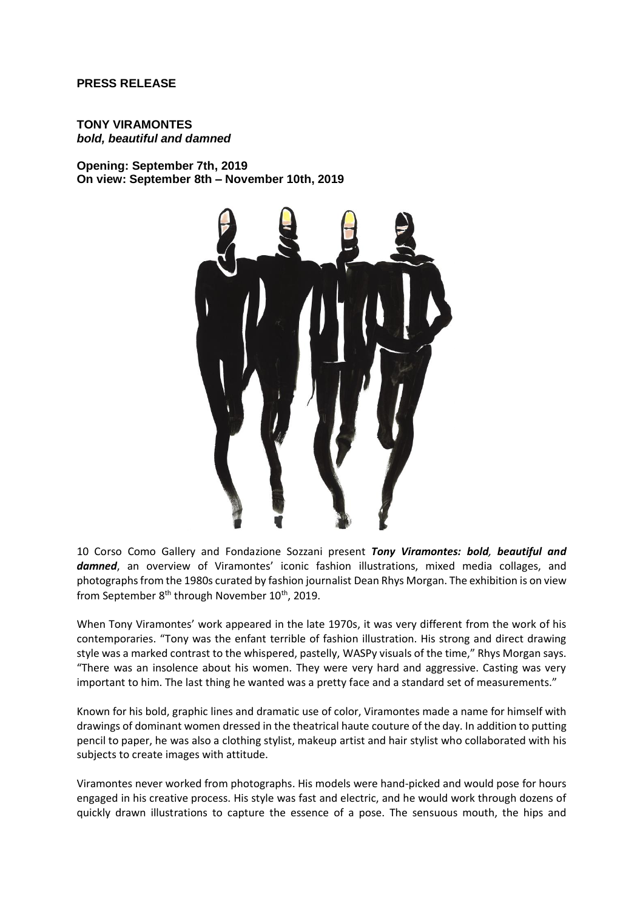# **PRESS RELEASE**

## **TONY VIRAMONTES** *bold, beautiful and damned*

**Opening: September 7th, 2019 On view: September 8th – November 10th, 2019**



10 Corso Como Gallery and Fondazione Sozzani present *Tony Viramontes: bold, beautiful and damned*, an overview of Viramontes' iconic fashion illustrations, mixed media collages, and photographs from the 1980s curated by fashion journalist Dean Rhys Morgan. The exhibition is on view from September 8<sup>th</sup> through November 10<sup>th</sup>, 2019.

When Tony Viramontes' work appeared in the late 1970s, it was very different from the work of his contemporaries. "Tony was the enfant terrible of fashion illustration. His strong and direct drawing style was a marked contrast to the whispered, pastelly, WASPy visuals of the time," Rhys Morgan says. "There was an insolence about his women. They were very hard and aggressive. Casting was very important to him. The last thing he wanted was a pretty face and a standard set of measurements."

Known for his bold, graphic lines and dramatic use of color, Viramontes made a name for himself with drawings of dominant women dressed in the theatrical haute couture of the day. In addition to putting pencil to paper, he was also a clothing stylist, makeup artist and hair stylist who collaborated with his subjects to create images with attitude.

Viramontes never worked from photographs. His models were hand-picked and would pose for hours engaged in his creative process. His style was fast and electric, and he would work through dozens of quickly drawn illustrations to capture the essence of a pose. The sensuous mouth, the hips and